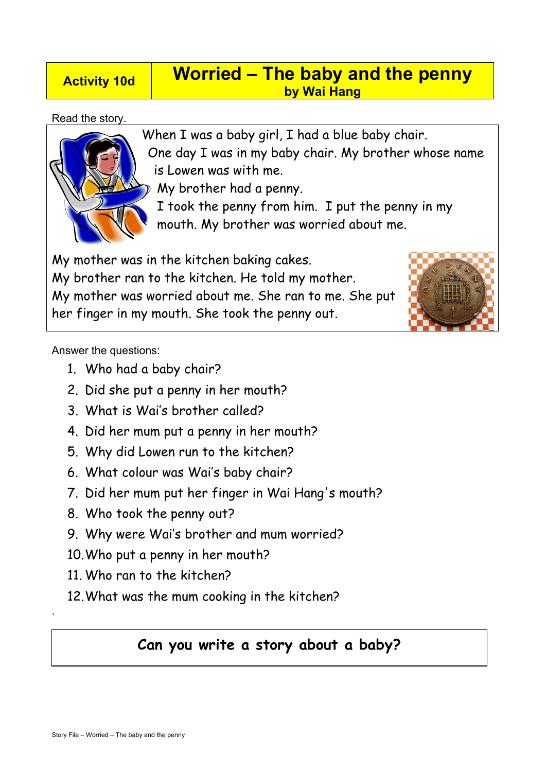## **Activity 10d Worried – The baby and the penny by Wai Hang**

### Read the story.



When I was a baby girl, I had a blue baby chair. One day I was in my baby chair. My brother whose name is Lowen was with me.

My brother had a penny.

I took the penny from him. I put the penny in my mouth. My brother was worried about me.

My mother was in the kitchen baking cakes. My brother ran to the kitchen. He told my mother. My mother was worried about me. She ran to me. She put her finger in my mouth. She took the penny out.



Answer the questions:

- 1. Who had a baby chair?
- 2. Did she put a penny in her mouth?
- 3. What is Wai's brother called?
- 4. Did her mum put a penny in her mouth?
- 5. Why did Lowen run to the kitchen?
- 6. What colour was Wai's baby chair?
- 7. Did her mum put her finger in Wai Hang's mouth?
- 8. Who took the penny out?
- 9. Why were Wai's brother and mum worried?
- 10.Who put a penny in her mouth?
- 11. Who ran to the kitchen?
- 12.What was the mum cooking in the kitchen?

# **Can you write a story about a baby?**

.